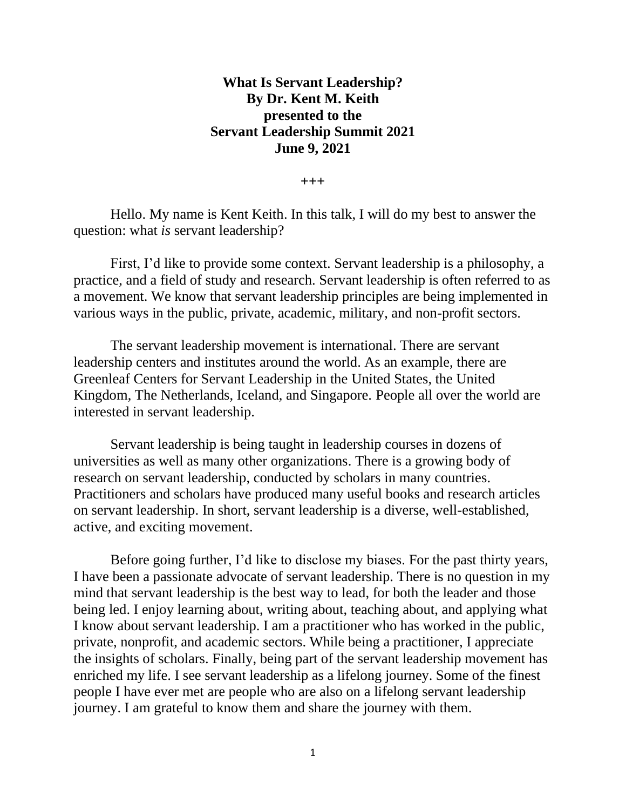## **What Is Servant Leadership? By Dr. Kent M. Keith presented to the Servant Leadership Summit 2021 June 9, 2021**

**+++**

Hello. My name is Kent Keith. In this talk, I will do my best to answer the question: what *is* servant leadership?

First, I'd like to provide some context. Servant leadership is a philosophy, a practice, and a field of study and research. Servant leadership is often referred to as a movement. We know that servant leadership principles are being implemented in various ways in the public, private, academic, military, and non-profit sectors.

The servant leadership movement is international. There are servant leadership centers and institutes around the world. As an example, there are Greenleaf Centers for Servant Leadership in the United States, the United Kingdom, The Netherlands, Iceland, and Singapore. People all over the world are interested in servant leadership.

Servant leadership is being taught in leadership courses in dozens of universities as well as many other organizations. There is a growing body of research on servant leadership, conducted by scholars in many countries. Practitioners and scholars have produced many useful books and research articles on servant leadership. In short, servant leadership is a diverse, well-established, active, and exciting movement.

Before going further, I'd like to disclose my biases. For the past thirty years, I have been a passionate advocate of servant leadership. There is no question in my mind that servant leadership is the best way to lead, for both the leader and those being led. I enjoy learning about, writing about, teaching about, and applying what I know about servant leadership. I am a practitioner who has worked in the public, private, nonprofit, and academic sectors. While being a practitioner, I appreciate the insights of scholars. Finally, being part of the servant leadership movement has enriched my life. I see servant leadership as a lifelong journey. Some of the finest people I have ever met are people who are also on a lifelong servant leadership journey. I am grateful to know them and share the journey with them.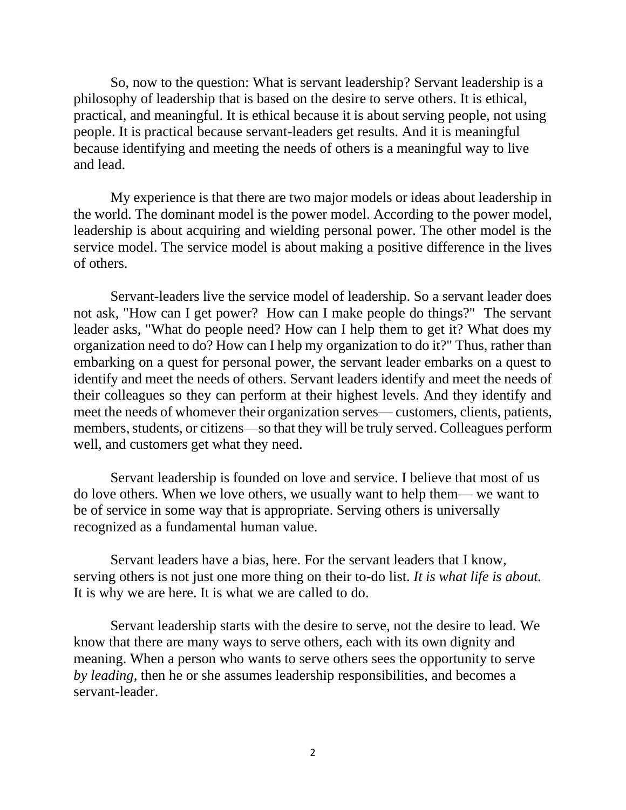So, now to the question: What is servant leadership? Servant leadership is a philosophy of leadership that is based on the desire to serve others. It is ethical, practical, and meaningful. It is ethical because it is about serving people, not using people. It is practical because servant-leaders get results. And it is meaningful because identifying and meeting the needs of others is a meaningful way to live and lead.

My experience is that there are two major models or ideas about leadership in the world. The dominant model is the power model. According to the power model, leadership is about acquiring and wielding personal power. The other model is the service model. The service model is about making a positive difference in the lives of others.

Servant-leaders live the service model of leadership. So a servant leader does not ask, "How can I get power? How can I make people do things?" The servant leader asks, "What do people need? How can I help them to get it? What does my organization need to do? How can I help my organization to do it?" Thus, rather than embarking on a quest for personal power, the servant leader embarks on a quest to identify and meet the needs of others. Servant leaders identify and meet the needs of their colleagues so they can perform at their highest levels. And they identify and meet the needs of whomever their organization serves— customers, clients, patients, members, students, or citizens—so that they will be truly served. Colleagues perform well, and customers get what they need.

Servant leadership is founded on love and service. I believe that most of us do love others. When we love others, we usually want to help them— we want to be of service in some way that is appropriate. Serving others is universally recognized as a fundamental human value.

Servant leaders have a bias, here. For the servant leaders that I know, serving others is not just one more thing on their to-do list. *It is what life is about.* It is why we are here. It is what we are called to do.

Servant leadership starts with the desire to serve, not the desire to lead. We know that there are many ways to serve others, each with its own dignity and meaning. When a person who wants to serve others sees the opportunity to serve *by leading*, then he or she assumes leadership responsibilities, and becomes a servant-leader.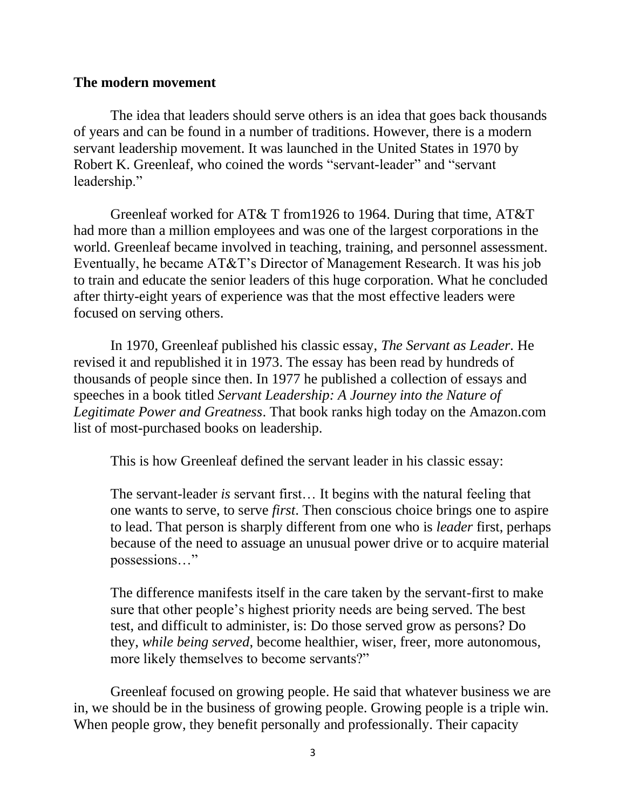### **The modern movement**

The idea that leaders should serve others is an idea that goes back thousands of years and can be found in a number of traditions. However, there is a modern servant leadership movement. It was launched in the United States in 1970 by Robert K. Greenleaf, who coined the words "servant-leader" and "servant leadership."

Greenleaf worked for AT& T from1926 to 1964. During that time, AT&T had more than a million employees and was one of the largest corporations in the world. Greenleaf became involved in teaching, training, and personnel assessment. Eventually, he became AT&T's Director of Management Research. It was his job to train and educate the senior leaders of this huge corporation. What he concluded after thirty-eight years of experience was that the most effective leaders were focused on serving others.

In 1970, Greenleaf published his classic essay, *The Servant as Leader.* He revised it and republished it in 1973. The essay has been read by hundreds of thousands of people since then. In 1977 he published a collection of essays and speeches in a book titled *Servant Leadership: A Journey into the Nature of Legitimate Power and Greatness*. That book ranks high today on the Amazon.com list of most-purchased books on leadership.

This is how Greenleaf defined the servant leader in his classic essay:

The servant-leader *is* servant first… It begins with the natural feeling that one wants to serve, to serve *first*. Then conscious choice brings one to aspire to lead. That person is sharply different from one who is *leader* first, perhaps because of the need to assuage an unusual power drive or to acquire material possessions…"

The difference manifests itself in the care taken by the servant-first to make sure that other people's highest priority needs are being served. The best test, and difficult to administer, is: Do those served grow as persons? Do they, *while being served*, become healthier, wiser, freer, more autonomous, more likely themselves to become servants?"

Greenleaf focused on growing people. He said that whatever business we are in, we should be in the business of growing people. Growing people is a triple win. When people grow, they benefit personally and professionally. Their capacity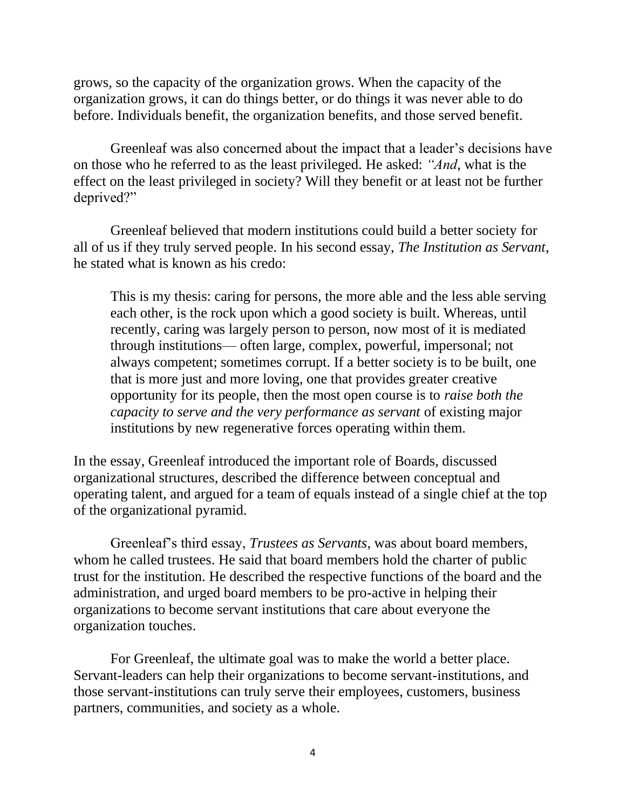grows, so the capacity of the organization grows. When the capacity of the organization grows, it can do things better, or do things it was never able to do before. Individuals benefit, the organization benefits, and those served benefit.

Greenleaf was also concerned about the impact that a leader's decisions have on those who he referred to as the least privileged. He asked: *"And*, what is the effect on the least privileged in society? Will they benefit or at least not be further deprived?"

Greenleaf believed that modern institutions could build a better society for all of us if they truly served people. In his second essay, *The Institution as Servant*, he stated what is known as his credo:

This is my thesis: caring for persons, the more able and the less able serving each other, is the rock upon which a good society is built. Whereas, until recently, caring was largely person to person, now most of it is mediated through institutions— often large, complex, powerful, impersonal; not always competent; sometimes corrupt. If a better society is to be built, one that is more just and more loving, one that provides greater creative opportunity for its people, then the most open course is to *raise both the capacity to serve and the very performance as servant* of existing major institutions by new regenerative forces operating within them.

In the essay, Greenleaf introduced the important role of Boards, discussed organizational structures, described the difference between conceptual and operating talent, and argued for a team of equals instead of a single chief at the top of the organizational pyramid.

Greenleaf's third essay, *Trustees as Servants*, was about board members, whom he called trustees. He said that board members hold the charter of public trust for the institution. He described the respective functions of the board and the administration, and urged board members to be pro-active in helping their organizations to become servant institutions that care about everyone the organization touches.

For Greenleaf, the ultimate goal was to make the world a better place. Servant-leaders can help their organizations to become servant-institutions, and those servant-institutions can truly serve their employees, customers, business partners, communities, and society as a whole.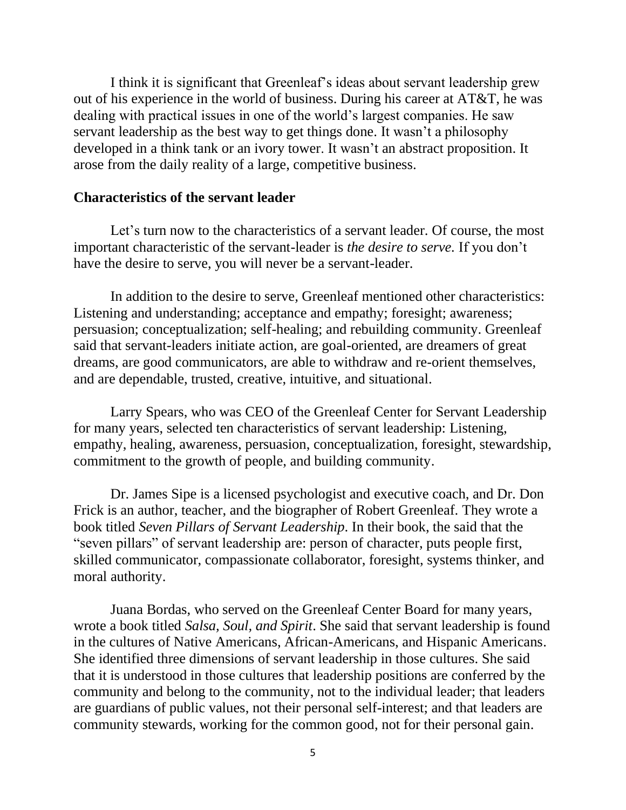I think it is significant that Greenleaf's ideas about servant leadership grew out of his experience in the world of business. During his career at AT&T, he was dealing with practical issues in one of the world's largest companies. He saw servant leadership as the best way to get things done. It wasn't a philosophy developed in a think tank or an ivory tower. It wasn't an abstract proposition. It arose from the daily reality of a large, competitive business.

#### **Characteristics of the servant leader**

Let's turn now to the characteristics of a servant leader. Of course, the most important characteristic of the servant-leader is *the desire to serve.* If you don't have the desire to serve, you will never be a servant-leader.

In addition to the desire to serve*,* Greenleaf mentioned other characteristics: Listening and understanding; acceptance and empathy; foresight; awareness; persuasion; conceptualization; self-healing; and rebuilding community. Greenleaf said that servant-leaders initiate action, are goal-oriented, are dreamers of great dreams, are good communicators, are able to withdraw and re-orient themselves, and are dependable, trusted, creative, intuitive, and situational.

Larry Spears, who was CEO of the Greenleaf Center for Servant Leadership for many years, selected ten characteristics of servant leadership: Listening, empathy, healing, awareness, persuasion, conceptualization, foresight, stewardship, commitment to the growth of people, and building community.

Dr. James Sipe is a licensed psychologist and executive coach, and Dr. Don Frick is an author, teacher, and the biographer of Robert Greenleaf. They wrote a book titled *Seven Pillars of Servant Leadership*. In their book, the said that the "seven pillars" of servant leadership are: person of character, puts people first, skilled communicator, compassionate collaborator, foresight, systems thinker, and moral authority.

Juana Bordas, who served on the Greenleaf Center Board for many years, wrote a book titled *Salsa, Soul, and Spirit*. She said that servant leadership is found in the cultures of Native Americans, African-Americans, and Hispanic Americans. She identified three dimensions of servant leadership in those cultures. She said that it is understood in those cultures that leadership positions are conferred by the community and belong to the community, not to the individual leader; that leaders are guardians of public values, not their personal self-interest; and that leaders are community stewards, working for the common good, not for their personal gain.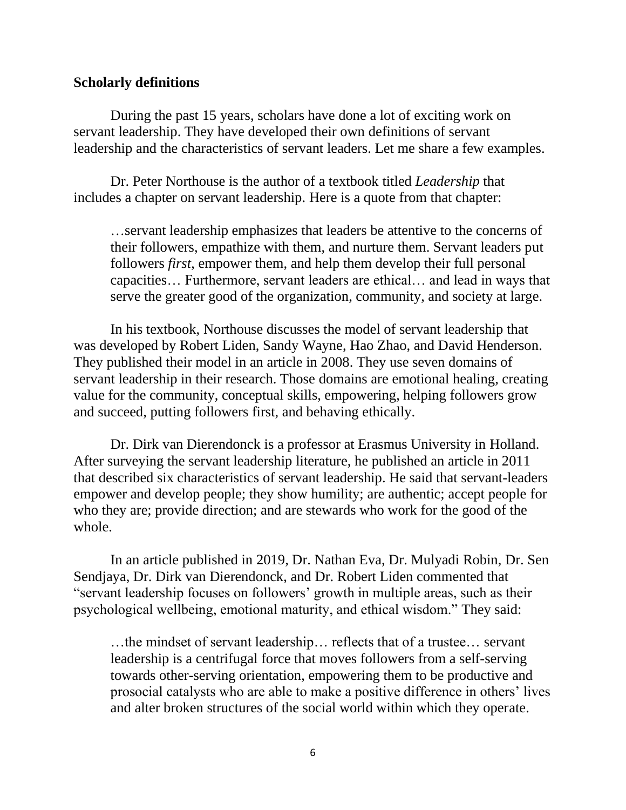### **Scholarly definitions**

During the past 15 years, scholars have done a lot of exciting work on servant leadership. They have developed their own definitions of servant leadership and the characteristics of servant leaders. Let me share a few examples.

Dr. Peter Northouse is the author of a textbook titled *Leadership* that includes a chapter on servant leadership. Here is a quote from that chapter:

…servant leadership emphasizes that leaders be attentive to the concerns of their followers, empathize with them, and nurture them. Servant leaders put followers *first*, empower them, and help them develop their full personal capacities… Furthermore, servant leaders are ethical… and lead in ways that serve the greater good of the organization, community, and society at large.

In his textbook, Northouse discusses the model of servant leadership that was developed by Robert Liden, Sandy Wayne, Hao Zhao, and David Henderson. They published their model in an article in 2008. They use seven domains of servant leadership in their research. Those domains are emotional healing, creating value for the community, conceptual skills, empowering, helping followers grow and succeed, putting followers first, and behaving ethically.

Dr. Dirk van Dierendonck is a professor at Erasmus University in Holland. After surveying the servant leadership literature, he published an article in 2011 that described six characteristics of servant leadership. He said that servant-leaders empower and develop people; they show humility; are authentic; accept people for who they are; provide direction; and are stewards who work for the good of the whole.

In an article published in 2019, Dr. Nathan Eva, Dr. Mulyadi Robin, Dr. Sen Sendjaya, Dr. Dirk van Dierendonck, and Dr. Robert Liden commented that "servant leadership focuses on followers' growth in multiple areas, such as their psychological wellbeing, emotional maturity, and ethical wisdom." They said:

…the mindset of servant leadership… reflects that of a trustee… servant leadership is a centrifugal force that moves followers from a self-serving towards other-serving orientation, empowering them to be productive and prosocial catalysts who are able to make a positive difference in others' lives and alter broken structures of the social world within which they operate.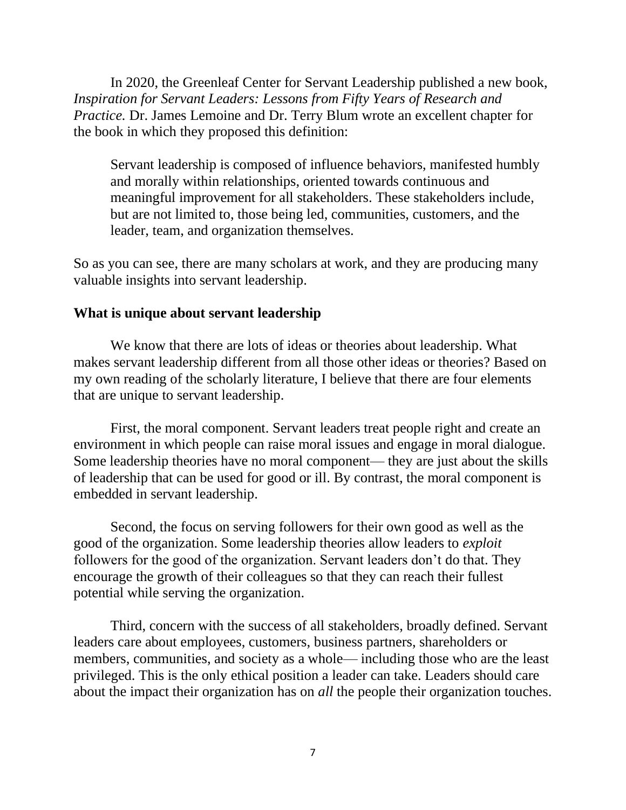In 2020, the Greenleaf Center for Servant Leadership published a new book, *Inspiration for Servant Leaders: Lessons from Fifty Years of Research and Practice.* Dr. James Lemoine and Dr. Terry Blum wrote an excellent chapter for the book in which they proposed this definition:

Servant leadership is composed of influence behaviors, manifested humbly and morally within relationships, oriented towards continuous and meaningful improvement for all stakeholders. These stakeholders include, but are not limited to, those being led, communities, customers, and the leader, team, and organization themselves.

So as you can see, there are many scholars at work, and they are producing many valuable insights into servant leadership.

### **What is unique about servant leadership**

We know that there are lots of ideas or theories about leadership. What makes servant leadership different from all those other ideas or theories? Based on my own reading of the scholarly literature, I believe that there are four elements that are unique to servant leadership.

First, the moral component. Servant leaders treat people right and create an environment in which people can raise moral issues and engage in moral dialogue. Some leadership theories have no moral component— they are just about the skills of leadership that can be used for good or ill. By contrast, the moral component is embedded in servant leadership.

Second, the focus on serving followers for their own good as well as the good of the organization. Some leadership theories allow leaders to *exploit*  followers for the good of the organization. Servant leaders don't do that. They encourage the growth of their colleagues so that they can reach their fullest potential while serving the organization.

Third, concern with the success of all stakeholders, broadly defined. Servant leaders care about employees, customers, business partners, shareholders or members, communities, and society as a whole— including those who are the least privileged. This is the only ethical position a leader can take. Leaders should care about the impact their organization has on *all* the people their organization touches.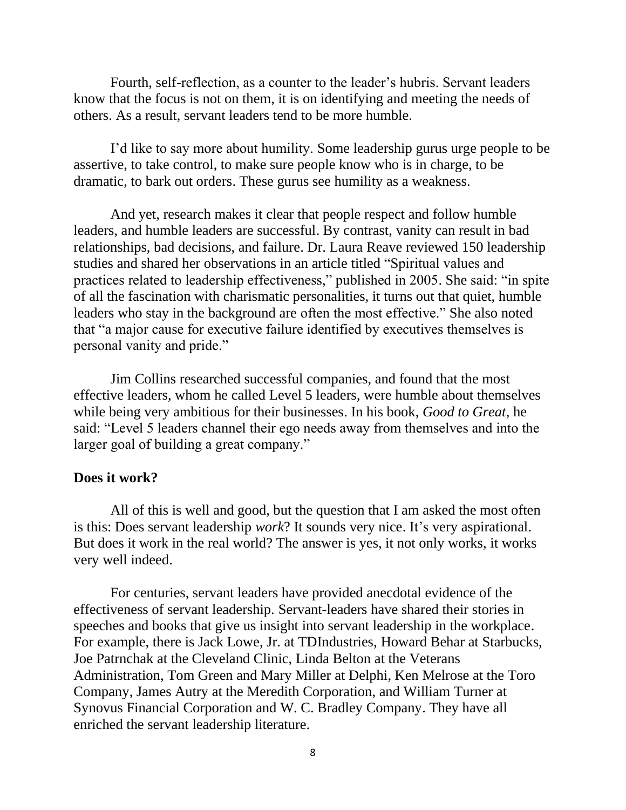Fourth, self-reflection, as a counter to the leader's hubris. Servant leaders know that the focus is not on them, it is on identifying and meeting the needs of others. As a result, servant leaders tend to be more humble.

I'd like to say more about humility. Some leadership gurus urge people to be assertive, to take control, to make sure people know who is in charge, to be dramatic, to bark out orders. These gurus see humility as a weakness.

And yet, research makes it clear that people respect and follow humble leaders, and humble leaders are successful. By contrast, vanity can result in bad relationships, bad decisions, and failure. Dr. Laura Reave reviewed 150 leadership studies and shared her observations in an article titled "Spiritual values and practices related to leadership effectiveness," published in 2005. She said: "in spite of all the fascination with charismatic personalities, it turns out that quiet, humble leaders who stay in the background are often the most effective." She also noted that "a major cause for executive failure identified by executives themselves is personal vanity and pride."

Jim Collins researched successful companies, and found that the most effective leaders, whom he called Level 5 leaders, were humble about themselves while being very ambitious for their businesses. In his book, *Good to Great*, he said: "Level 5 leaders channel their ego needs away from themselves and into the larger goal of building a great company."

#### **Does it work?**

All of this is well and good, but the question that I am asked the most often is this: Does servant leadership *work*? It sounds very nice. It's very aspirational. But does it work in the real world? The answer is yes, it not only works, it works very well indeed.

For centuries, servant leaders have provided anecdotal evidence of the effectiveness of servant leadership. Servant-leaders have shared their stories in speeches and books that give us insight into servant leadership in the workplace. For example, there is Jack Lowe, Jr. at TDIndustries, Howard Behar at Starbucks, Joe Patrnchak at the Cleveland Clinic, Linda Belton at the Veterans Administration, Tom Green and Mary Miller at Delphi, Ken Melrose at the Toro Company, James Autry at the Meredith Corporation, and William Turner at Synovus Financial Corporation and W. C. Bradley Company. They have all enriched the servant leadership literature.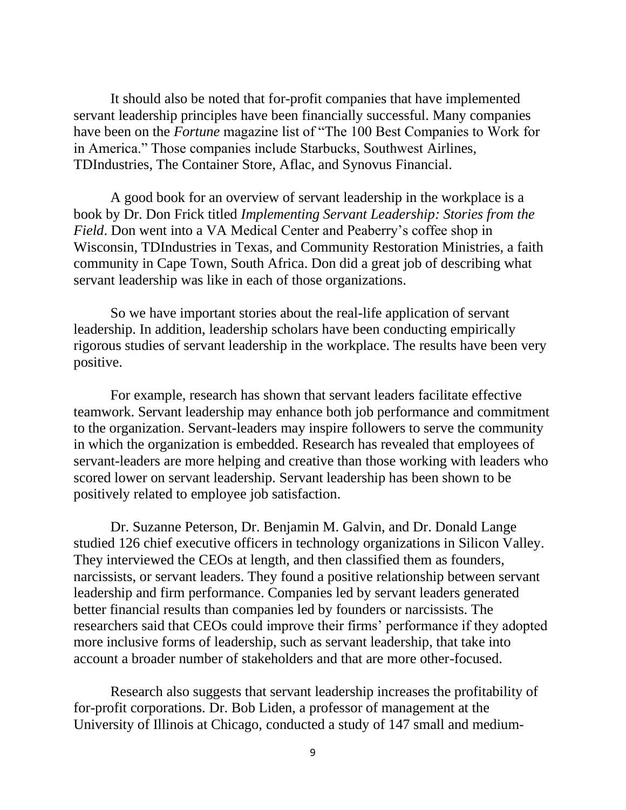It should also be noted that for-profit companies that have implemented servant leadership principles have been financially successful. Many companies have been on the *Fortune* magazine list of "The 100 Best Companies to Work for in America." Those companies include Starbucks, Southwest Airlines, TDIndustries, The Container Store, Aflac, and Synovus Financial.

A good book for an overview of servant leadership in the workplace is a book by Dr. Don Frick titled *Implementing Servant Leadership: Stories from the Field*. Don went into a VA Medical Center and Peaberry's coffee shop in Wisconsin, TDIndustries in Texas, and Community Restoration Ministries, a faith community in Cape Town, South Africa. Don did a great job of describing what servant leadership was like in each of those organizations.

So we have important stories about the real-life application of servant leadership. In addition, leadership scholars have been conducting empirically rigorous studies of servant leadership in the workplace. The results have been very positive.

For example, research has shown that servant leaders facilitate effective teamwork. Servant leadership may enhance both job performance and commitment to the organization. Servant-leaders may inspire followers to serve the community in which the organization is embedded. Research has revealed that employees of servant-leaders are more helping and creative than those working with leaders who scored lower on servant leadership. Servant leadership has been shown to be positively related to employee job satisfaction.

Dr. Suzanne Peterson, Dr. Benjamin M. Galvin, and Dr. Donald Lange studied 126 chief executive officers in technology organizations in Silicon Valley. They interviewed the CEOs at length, and then classified them as founders, narcissists, or servant leaders. They found a positive relationship between servant leadership and firm performance. Companies led by servant leaders generated better financial results than companies led by founders or narcissists. The researchers said that CEOs could improve their firms' performance if they adopted more inclusive forms of leadership, such as servant leadership, that take into account a broader number of stakeholders and that are more other-focused.

Research also suggests that servant leadership increases the profitability of for-profit corporations. Dr. Bob Liden, a professor of management at the University of Illinois at Chicago, conducted a study of 147 small and medium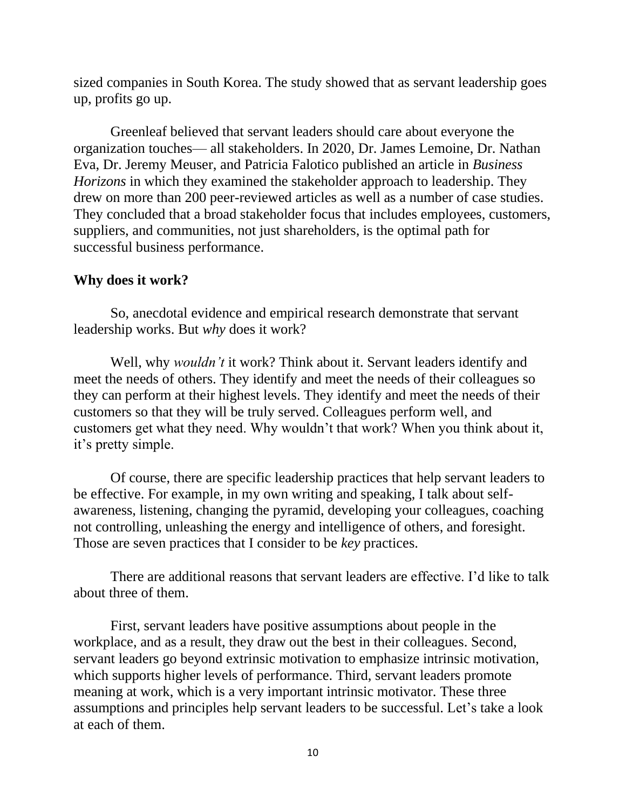sized companies in South Korea. The study showed that as servant leadership goes up, profits go up.

Greenleaf believed that servant leaders should care about everyone the organization touches— all stakeholders. In 2020, Dr. James Lemoine, Dr. Nathan Eva, Dr. Jeremy Meuser, and Patricia Falotico published an article in *Business Horizons* in which they examined the stakeholder approach to leadership. They drew on more than 200 peer-reviewed articles as well as a number of case studies. They concluded that a broad stakeholder focus that includes employees, customers, suppliers, and communities, not just shareholders, is the optimal path for successful business performance.

### **Why does it work?**

So, anecdotal evidence and empirical research demonstrate that servant leadership works. But *why* does it work?

Well, why *wouldn't* it work? Think about it. Servant leaders identify and meet the needs of others. They identify and meet the needs of their colleagues so they can perform at their highest levels. They identify and meet the needs of their customers so that they will be truly served. Colleagues perform well, and customers get what they need. Why wouldn't that work? When you think about it, it's pretty simple.

Of course, there are specific leadership practices that help servant leaders to be effective. For example, in my own writing and speaking, I talk about selfawareness, listening, changing the pyramid, developing your colleagues, coaching not controlling, unleashing the energy and intelligence of others, and foresight. Those are seven practices that I consider to be *key* practices.

There are additional reasons that servant leaders are effective. I'd like to talk about three of them.

First, servant leaders have positive assumptions about people in the workplace, and as a result, they draw out the best in their colleagues. Second, servant leaders go beyond extrinsic motivation to emphasize intrinsic motivation, which supports higher levels of performance. Third, servant leaders promote meaning at work, which is a very important intrinsic motivator. These three assumptions and principles help servant leaders to be successful. Let's take a look at each of them.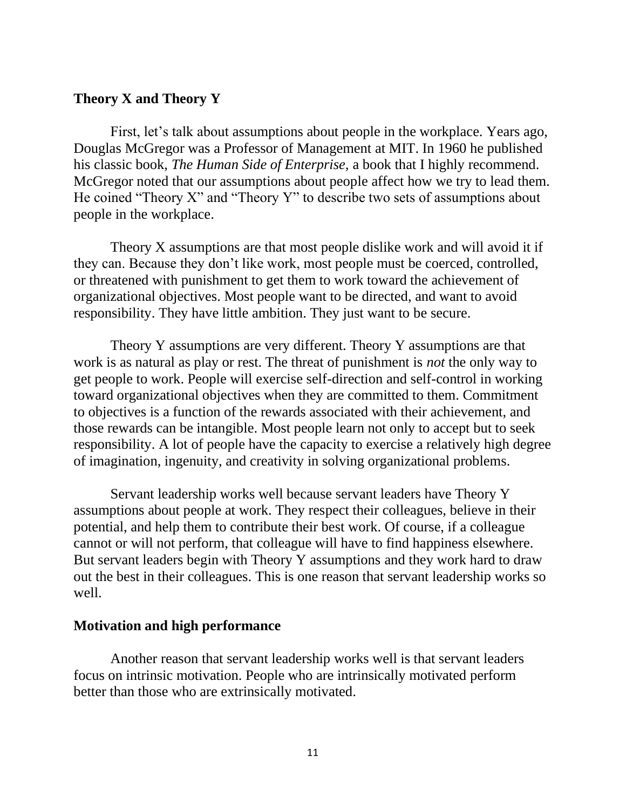## **Theory X and Theory Y**

First, let's talk about assumptions about people in the workplace. Years ago, Douglas McGregor was a Professor of Management at MIT. In 1960 he published his classic book, *The Human Side of Enterprise,* a book that I highly recommend. McGregor noted that our assumptions about people affect how we try to lead them. He coined "Theory X" and "Theory Y" to describe two sets of assumptions about people in the workplace.

Theory X assumptions are that most people dislike work and will avoid it if they can. Because they don't like work, most people must be coerced, controlled, or threatened with punishment to get them to work toward the achievement of organizational objectives. Most people want to be directed, and want to avoid responsibility. They have little ambition. They just want to be secure.

Theory Y assumptions are very different. Theory Y assumptions are that work is as natural as play or rest. The threat of punishment is *not* the only way to get people to work. People will exercise self-direction and self-control in working toward organizational objectives when they are committed to them. Commitment to objectives is a function of the rewards associated with their achievement, and those rewards can be intangible. Most people learn not only to accept but to seek responsibility. A lot of people have the capacity to exercise a relatively high degree of imagination, ingenuity, and creativity in solving organizational problems.

Servant leadership works well because servant leaders have Theory Y assumptions about people at work. They respect their colleagues, believe in their potential, and help them to contribute their best work. Of course, if a colleague cannot or will not perform, that colleague will have to find happiness elsewhere. But servant leaders begin with Theory Y assumptions and they work hard to draw out the best in their colleagues. This is one reason that servant leadership works so well.

#### **Motivation and high performance**

Another reason that servant leadership works well is that servant leaders focus on intrinsic motivation. People who are intrinsically motivated perform better than those who are extrinsically motivated.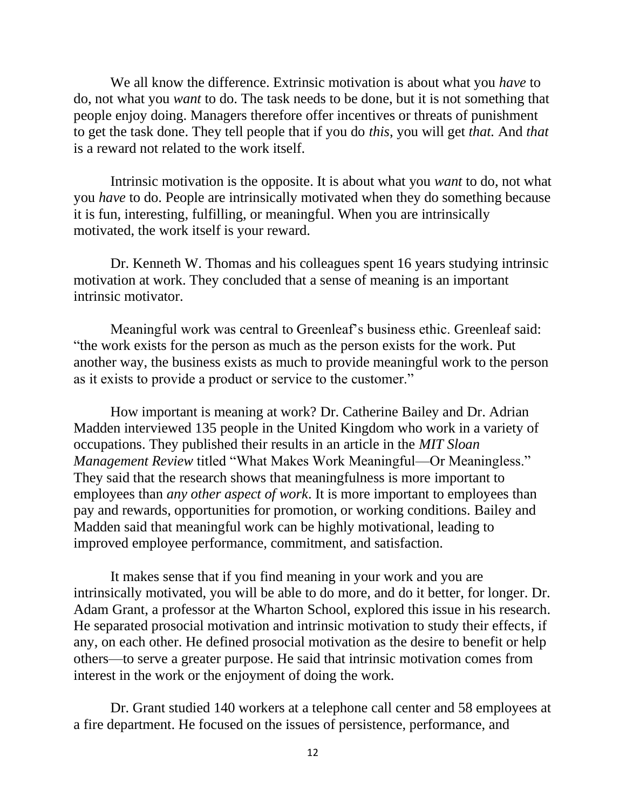We all know the difference. Extrinsic motivation is about what you *have* to do, not what you *want* to do. The task needs to be done, but it is not something that people enjoy doing. Managers therefore offer incentives or threats of punishment to get the task done. They tell people that if you do *this*, you will get *that.* And *that* is a reward not related to the work itself.

Intrinsic motivation is the opposite. It is about what you *want* to do, not what you *have* to do. People are intrinsically motivated when they do something because it is fun, interesting, fulfilling, or meaningful. When you are intrinsically motivated, the work itself is your reward.

Dr. Kenneth W. Thomas and his colleagues spent 16 years studying intrinsic motivation at work. They concluded that a sense of meaning is an important intrinsic motivator.

Meaningful work was central to Greenleaf's business ethic. Greenleaf said: "the work exists for the person as much as the person exists for the work. Put another way, the business exists as much to provide meaningful work to the person as it exists to provide a product or service to the customer."

How important is meaning at work? Dr. Catherine Bailey and Dr. Adrian Madden interviewed 135 people in the United Kingdom who work in a variety of occupations. They published their results in an article in the *MIT Sloan Management Review* titled "What Makes Work Meaningful—Or Meaningless." They said that the research shows that meaningfulness is more important to employees than *any other aspect of work*. It is more important to employees than pay and rewards, opportunities for promotion, or working conditions. Bailey and Madden said that meaningful work can be highly motivational, leading to improved employee performance, commitment, and satisfaction.

It makes sense that if you find meaning in your work and you are intrinsically motivated, you will be able to do more, and do it better, for longer. Dr. Adam Grant, a professor at the Wharton School, explored this issue in his research. He separated prosocial motivation and intrinsic motivation to study their effects, if any, on each other. He defined prosocial motivation as the desire to benefit or help others—to serve a greater purpose. He said that intrinsic motivation comes from interest in the work or the enjoyment of doing the work.

Dr. Grant studied 140 workers at a telephone call center and 58 employees at a fire department. He focused on the issues of persistence, performance, and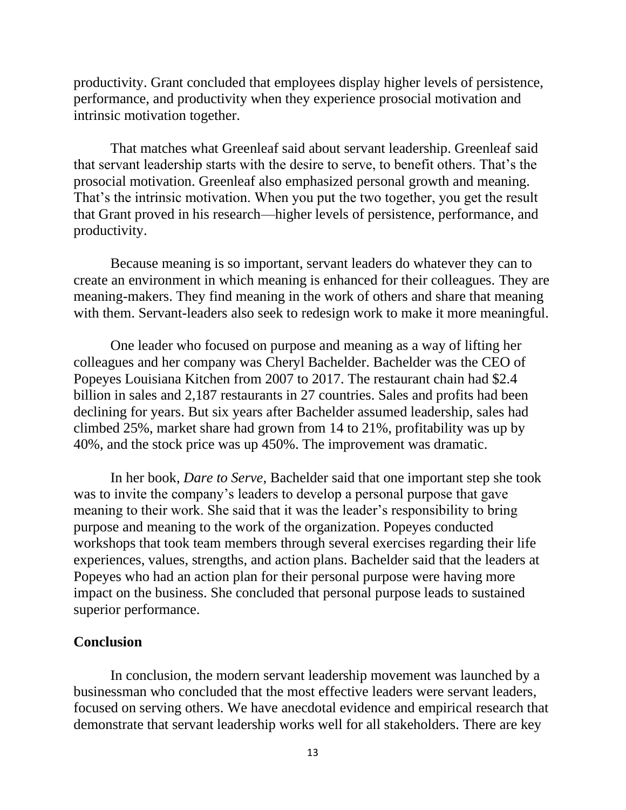productivity. Grant concluded that employees display higher levels of persistence, performance, and productivity when they experience prosocial motivation and intrinsic motivation together.

That matches what Greenleaf said about servant leadership. Greenleaf said that servant leadership starts with the desire to serve, to benefit others. That's the prosocial motivation. Greenleaf also emphasized personal growth and meaning. That's the intrinsic motivation. When you put the two together, you get the result that Grant proved in his research—higher levels of persistence, performance, and productivity.

Because meaning is so important, servant leaders do whatever they can to create an environment in which meaning is enhanced for their colleagues. They are meaning-makers. They find meaning in the work of others and share that meaning with them. Servant-leaders also seek to redesign work to make it more meaningful.

One leader who focused on purpose and meaning as a way of lifting her colleagues and her company was Cheryl Bachelder. Bachelder was the CEO of Popeyes Louisiana Kitchen from 2007 to 2017. The restaurant chain had \$2.4 billion in sales and 2,187 restaurants in 27 countries. Sales and profits had been declining for years. But six years after Bachelder assumed leadership, sales had climbed 25%, market share had grown from 14 to 21%, profitability was up by 40%, and the stock price was up 450%. The improvement was dramatic.

In her book, *Dare to Serve*, Bachelder said that one important step she took was to invite the company's leaders to develop a personal purpose that gave meaning to their work. She said that it was the leader's responsibility to bring purpose and meaning to the work of the organization. Popeyes conducted workshops that took team members through several exercises regarding their life experiences, values, strengths, and action plans. Bachelder said that the leaders at Popeyes who had an action plan for their personal purpose were having more impact on the business. She concluded that personal purpose leads to sustained superior performance.

### **Conclusion**

In conclusion, the modern servant leadership movement was launched by a businessman who concluded that the most effective leaders were servant leaders, focused on serving others. We have anecdotal evidence and empirical research that demonstrate that servant leadership works well for all stakeholders. There are key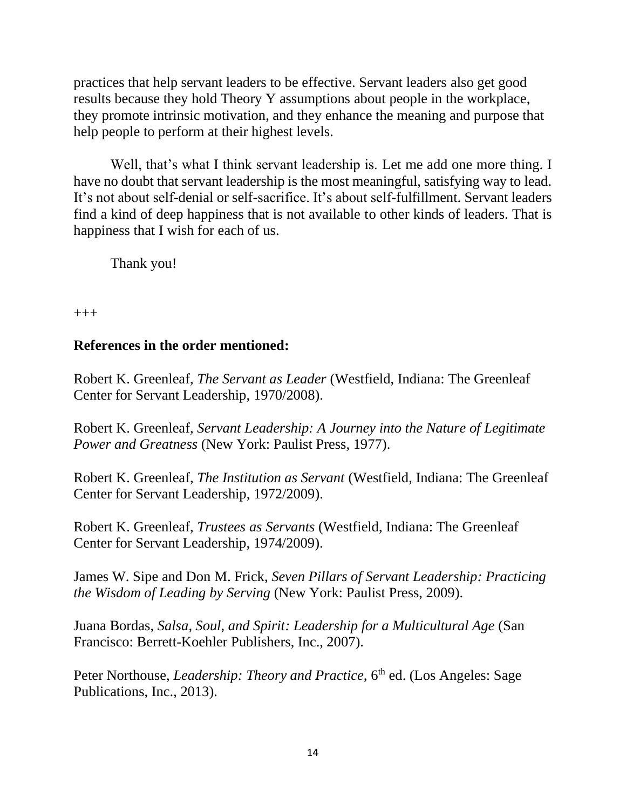practices that help servant leaders to be effective. Servant leaders also get good results because they hold Theory Y assumptions about people in the workplace, they promote intrinsic motivation, and they enhance the meaning and purpose that help people to perform at their highest levels.

Well, that's what I think servant leadership is. Let me add one more thing. I have no doubt that servant leadership is the most meaningful, satisfying way to lead. It's not about self-denial or self-sacrifice. It's about self-fulfillment. Servant leaders find a kind of deep happiness that is not available to other kinds of leaders. That is happiness that I wish for each of us.

Thank you!

+++

# **References in the order mentioned:**

Robert K. Greenleaf, *The Servant as Leader* (Westfield, Indiana: The Greenleaf Center for Servant Leadership, 1970/2008).

Robert K. Greenleaf, *Servant Leadership: A Journey into the Nature of Legitimate Power and Greatness* (New York: Paulist Press, 1977).

Robert K. Greenleaf, *The Institution as Servant* (Westfield, Indiana: The Greenleaf Center for Servant Leadership, 1972/2009).

Robert K. Greenleaf, *Trustees as Servants* (Westfield, Indiana: The Greenleaf Center for Servant Leadership, 1974/2009).

James W. Sipe and Don M. Frick, *Seven Pillars of Servant Leadership: Practicing the Wisdom of Leading by Serving* (New York: Paulist Press, 2009).

Juana Bordas*, Salsa, Soul, and Spirit: Leadership for a Multicultural Age* (San Francisco: Berrett-Koehler Publishers, Inc., 2007).

Peter Northouse, *Leadership: Theory and Practice*, 6<sup>th</sup> ed. (Los Angeles: Sage Publications, Inc., 2013).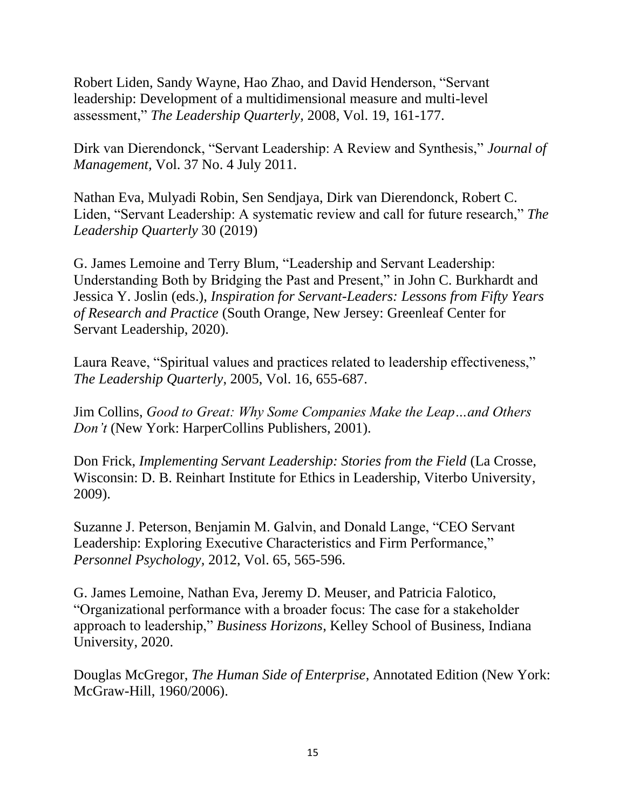Robert Liden, Sandy Wayne, Hao Zhao, and David Henderson, "Servant leadership: Development of a multidimensional measure and multi-level assessment," *The Leadership Quarterly,* 2008, Vol. 19, 161-177.

Dirk van Dierendonck, "Servant Leadership: A Review and Synthesis," *Journal of Management,* Vol. 37 No. 4 July 2011.

Nathan Eva, Mulyadi Robin, Sen Sendjaya, Dirk van Dierendonck, Robert C. Liden, "Servant Leadership: A systematic review and call for future research," *The Leadership Quarterly* 30 (2019)

G. James Lemoine and Terry Blum, "Leadership and Servant Leadership: Understanding Both by Bridging the Past and Present," in John C. Burkhardt and Jessica Y. Joslin (eds.), *Inspiration for Servant-Leaders: Lessons from Fifty Years of Research and Practice* (South Orange, New Jersey: Greenleaf Center for Servant Leadership, 2020).

Laura Reave, "Spiritual values and practices related to leadership effectiveness," *The Leadership Quarterly*, 2005, Vol. 16, 655-687.

Jim Collins, *Good to Great: Why Some Companies Make the Leap…and Others Don't* (New York: HarperCollins Publishers, 2001).

Don Frick, *Implementing Servant Leadership: Stories from the Field* (La Crosse, Wisconsin: D. B. Reinhart Institute for Ethics in Leadership, Viterbo University, 2009).

Suzanne J. Peterson, Benjamin M. Galvin, and Donald Lange, "CEO Servant Leadership: Exploring Executive Characteristics and Firm Performance," *Personnel Psychology,* 2012, Vol. 65, 565-596.

G. James Lemoine, Nathan Eva, Jeremy D. Meuser, and Patricia Falotico, "Organizational performance with a broader focus: The case for a stakeholder approach to leadership," *Business Horizons*, Kelley School of Business, Indiana University, 2020.

Douglas McGregor, *The Human Side of Enterprise*, Annotated Edition (New York: McGraw-Hill, 1960/2006).